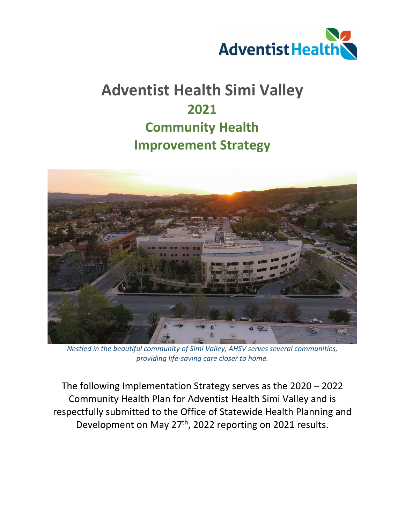

# **Adventist Health Simi Valley 2021 Community Health Improvement Strategy**



*Nestled in the beautiful community of Simi Valley, AHSV serves several communities, providing life-saving care closer to home.* 

The following Implementation Strategy serves as the 2020 – 2022 Community Health Plan for Adventist Health Simi Valley and is respectfully submitted to the Office of Statewide Health Planning and Development on May 27th, 2022 reporting on 2021 results.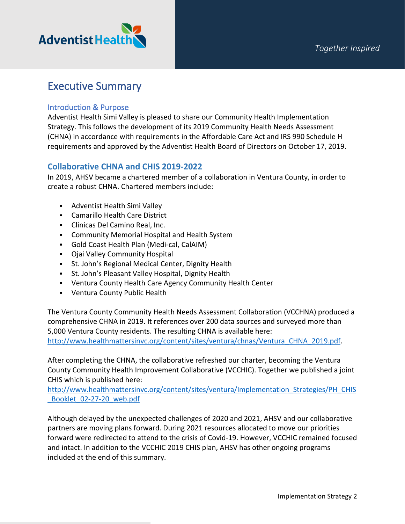

## Executive Summary

### Introduction & Purpose

Adventist Health Simi Valley is pleased to share our Community Health Implementation Strategy. This follows the development of its 2019 Community Health Needs Assessment (CHNA) in accordance with requirements in the Affordable Care Act and IRS 990 Schedule H requirements and approved by the Adventist Health Board of Directors on October 17, 2019.

## **Collaborative CHNA and CHIS 2019-2022**

In 2019, AHSV became a chartered member of a collaboration in Ventura County, in order to create a robust CHNA. Chartered members include:

- **Adventist Health Simi Valley**
- Camarillo Health Care District
- Clinicas Del Camino Real, Inc.
- Community Memorial Hospital and Health System
- Gold Coast Health Plan (Medi-cal, CalAIM)
- Ojai Valley Community Hospital
- St. John's Regional Medical Center, Dignity Health
- St. John's Pleasant Valley Hospital, Dignity Health
- Ventura County Health Care Agency Community Health Center
- Ventura County Public Health

The Ventura County Community Health Needs Assessment Collaboration (VCCHNA) produced a comprehensive CHNA in 2019. It references over 200 data sources and surveyed more than 5,000 Ventura County residents. The resulting CHNA is available here: [http://www.healthmattersinvc.org/content/sites/ventura/chnas/Ventura\\_CHNA\\_2019.pdf.](http://www.healthmattersinvc.org/content/sites/ventura/chnas/Ventura_CHNA_2019.pdf)

After completing the CHNA, the collaborative refreshed our charter, becoming the Ventura County Community Health Improvement Collaborative (VCCHIC). Together we published a joint CHIS which is published here:

[http://www.healthmattersinvc.org/content/sites/ventura/Implementation\\_Strategies/PH\\_CHIS](http://www.healthmattersinvc.org/content/sites/ventura/Implementation_Strategies/PH_CHIS_Booklet_02-27-20_web.pdf) [\\_Booklet\\_02-27-20\\_web.pdf](http://www.healthmattersinvc.org/content/sites/ventura/Implementation_Strategies/PH_CHIS_Booklet_02-27-20_web.pdf)

Although delayed by the unexpected challenges of 2020 and 2021, AHSV and our collaborative partners are moving plans forward. During 2021 resources allocated to move our priorities forward were redirected to attend to the crisis of Covid-19. However, VCCHIC remained focused and intact. In addition to the VCCHIC 2019 CHIS plan, AHSV has other ongoing programs included at the end of this summary.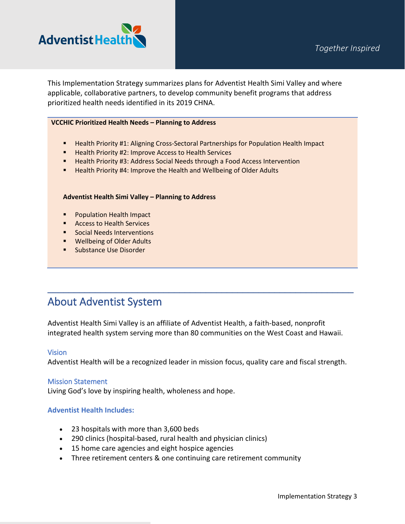



This Implementation Strategy summarizes plans for Adventist Health Simi Valley and where applicable, collaborative partners, to develop community benefit programs that address prioritized health needs identified in its 2019 CHNA.

#### **VCCHIC Prioritized Health Needs – Planning to Address**

- **Health Priority #1: Aligning Cross-Sectoral Partnerships for Population Health Impact**
- Health Priority #2: Improve Access to Health Services
- **Health Priority #3: Address Social Needs through a Food Access Intervention**
- **Health Priority #4: Improve the Health and Wellbeing of Older Adults**

#### **Adventist Health Simi Valley – Planning to Address**

- **Population Health Impact**
- **Access to Health Services**
- **Social Needs Interventions**
- **Wellbeing of Older Adults**
- **Substance Use Disorder**

## About Adventist System

Adventist Health Simi Valley is an affiliate of Adventist Health, a faith-based, nonprofit integrated health system serving more than 80 communities on the West Coast and Hawaii.

 $\mathcal{L}_\text{max}$  and  $\mathcal{L}_\text{max}$  and  $\mathcal{L}_\text{max}$  and  $\mathcal{L}_\text{max}$  and  $\mathcal{L}_\text{max}$  and  $\mathcal{L}_\text{max}$ 

#### **Vision**

Adventist Health will be a recognized leader in mission focus, quality care and fiscal strength.

#### Mission Statement

Living God's love by inspiring health, wholeness and hope.

#### **Adventist Health Includes:**

- 23 hospitals with more than 3,600 beds
- 290 clinics (hospital-based, rural health and physician clinics)
- 15 home care agencies and eight hospice agencies
- Three retirement centers & one continuing care retirement community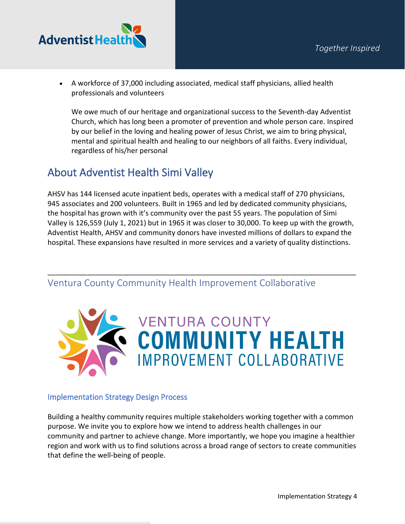

• A workforce of 37,000 including associated, medical staff physicians, allied health professionals and volunteers

We owe much of our heritage and organizational success to the Seventh-day Adventist Church, which has long been a promoter of prevention and whole person care. Inspired by our belief in the loving and healing power of Jesus Christ, we aim to bring physical, mental and spiritual health and healing to our neighbors of all faiths. Every individual, regardless of his/her personal

## About Adventist Health Simi Valley

AHSV has 144 licensed acute inpatient beds, operates with a medical staff of 270 physicians, 945 associates and 200 volunteers. Built in 1965 and led by dedicated community physicians, the hospital has grown with it's community over the past 55 years. The population of Simi Valley is 126,559 (July 1, 2021) but in 1965 it was closer to 30,000. To keep up with the growth, Adventist Health, AHSV and community donors have invested millions of dollars to expand the hospital. These expansions have resulted in more services and a variety of quality distinctions.

\_\_\_\_\_\_\_\_\_\_\_\_\_\_\_\_\_\_\_\_\_\_\_\_\_\_\_\_\_\_\_\_\_\_\_\_\_\_\_\_\_\_\_\_\_\_\_\_\_\_\_\_\_\_\_\_\_\_\_\_\_\_\_\_\_\_\_\_\_\_\_\_\_\_\_\_\_\_

Ventura County Community Health Improvement Collaborative



## Implementation Strategy Design Process

Building a healthy community requires multiple stakeholders working together with a common purpose. We invite you to explore how we intend to address health challenges in our community and partner to achieve change. More importantly, we hope you imagine a healthier region and work with us to find solutions across a broad range of sectors to create communities that define the well-being of people.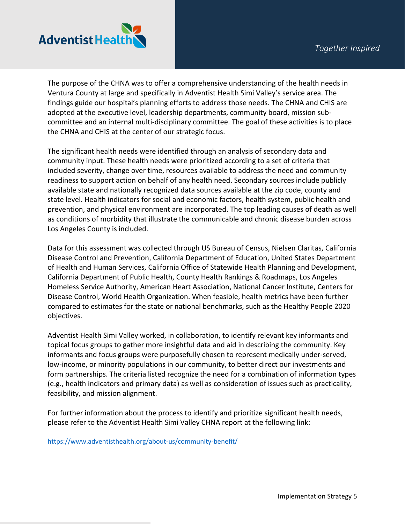

The purpose of the CHNA was to offer a comprehensive understanding of the health needs in Ventura County at large and specifically in Adventist Health Simi Valley's service area. The findings guide our hospital's planning efforts to address those needs. The CHNA and CHIS are adopted at the executive level, leadership departments, community board, mission subcommittee and an internal multi-disciplinary committee. The goal of these activities is to place the CHNA and CHIS at the center of our strategic focus.

The significant health needs were identified through an analysis of secondary data and community input. These health needs were prioritized according to a set of criteria that included severity, change over time, resources available to address the need and community readiness to support action on behalf of any health need. Secondary sources include publicly available state and nationally recognized data sources available at the zip code, county and state level. Health indicators for social and economic factors, health system, public health and prevention, and physical environment are incorporated. The top leading causes of death as well as conditions of morbidity that illustrate the communicable and chronic disease burden across Los Angeles County is included.

Data for this assessment was collected through US Bureau of Census, Nielsen Claritas, California Disease Control and Prevention, California Department of Education, United States Department of Health and Human Services, California Office of Statewide Health Planning and Development, California Department of Public Health, County Health Rankings & Roadmaps, Los Angeles Homeless Service Authority, American Heart Association, National Cancer Institute, Centers for Disease Control, World Health Organization. When feasible, health metrics have been further compared to estimates for the state or national benchmarks, such as the Healthy People 2020 objectives.

Adventist Health Simi Valley worked, in collaboration, to identify relevant key informants and topical focus groups to gather more insightful data and aid in describing the community. Key informants and focus groups were purposefully chosen to represent medically under-served, low-income, or minority populations in our community, to better direct our investments and form partnerships. The criteria listed recognize the need for a combination of information types (e.g., health indicators and primary data) as well as consideration of issues such as practicality, feasibility, and mission alignment.

For further information about the process to identify and prioritize significant health needs, please refer to the Adventist Health Simi Valley CHNA report at the following link:

<https://www.adventisthealth.org/about-us/community-benefit/>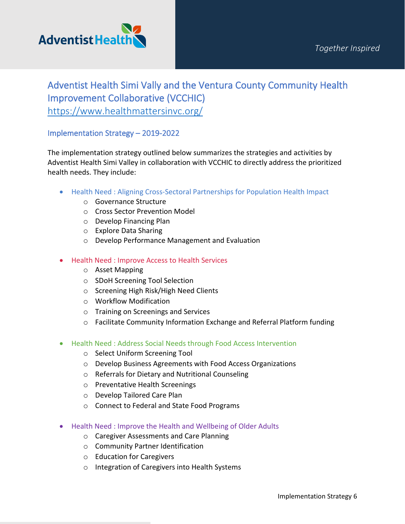

## Adventist Health Simi Vally and the Ventura County Community Health Improvement Collaborative (VCCHIC) <https://www.healthmattersinvc.org/>

### Implementation Strategy – 2019-2022

The implementation strategy outlined below summarizes the strategies and activities by Adventist Health Simi Valley in collaboration with VCCHIC to directly address the prioritized health needs. They include:

- Health Need : Aligning Cross-Sectoral Partnerships for Population Health Impact
	- o Governance Structure
	- o Cross Sector Prevention Model
	- o Develop Financing Plan
	- o Explore Data Sharing
	- o Develop Performance Management and Evaluation
- Health Need : Improve Access to Health Services
	- o Asset Mapping
	- o SDoH Screening Tool Selection
	- o Screening High Risk/High Need Clients
	- o Workflow Modification
	- o Training on Screenings and Services
	- o Facilitate Community Information Exchange and Referral Platform funding
- Health Need : Address Social Needs through Food Access Intervention
	- o Select Uniform Screening Tool
	- o Develop Business Agreements with Food Access Organizations
	- o Referrals for Dietary and Nutritional Counseling
	- o Preventative Health Screenings
	- o Develop Tailored Care Plan
	- o Connect to Federal and State Food Programs
- Health Need : Improve the Health and Wellbeing of Older Adults
	- o Caregiver Assessments and Care Planning
	- o Community Partner Identification
	- o Education for Caregivers
	- o Integration of Caregivers into Health Systems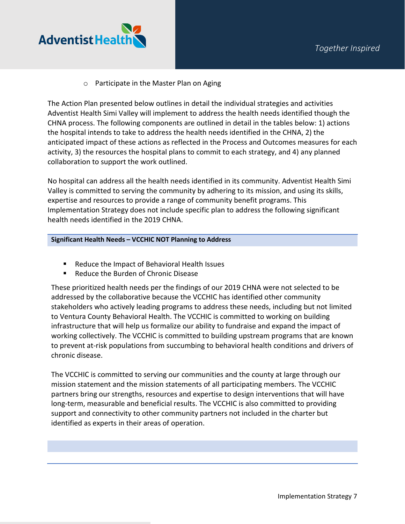

o Participate in the Master Plan on Aging

The Action Plan presented below outlines in detail the individual strategies and activities Adventist Health Simi Valley will implement to address the health needs identified though the CHNA process. The following components are outlined in detail in the tables below: 1) actions the hospital intends to take to address the health needs identified in the CHNA, 2) the anticipated impact of these actions as reflected in the Process and Outcomes measures for each activity, 3) the resources the hospital plans to commit to each strategy, and 4) any planned collaboration to support the work outlined.

No hospital can address all the health needs identified in its community. Adventist Health Simi Valley is committed to serving the community by adhering to its mission, and using its skills, expertise and resources to provide a range of community benefit programs. This Implementation Strategy does not include specific plan to address the following significant health needs identified in the 2019 CHNA.

#### **Significant Health Needs – VCCHIC NOT Planning to Address**

- Reduce the Impact of Behavioral Health Issues
- Reduce the Burden of Chronic Disease

These prioritized health needs per the findings of our 2019 CHNA were not selected to be addressed by the collaborative because the VCCHIC has identified other community stakeholders who actively leading programs to address these needs, including but not limited to Ventura County Behavioral Health. The VCCHIC is committed to working on building infrastructure that will help us formalize our ability to fundraise and expand the impact of working collectively. The VCCHIC is committed to building upstream programs that are known to prevent at-risk populations from succumbing to behavioral health conditions and drivers of chronic disease.

The VCCHIC is committed to serving our communities and the county at large through our mission statement and the mission statements of all participating members. The VCCHIC partners bring our strengths, resources and expertise to design interventions that will have long-term, measurable and beneficial results. The VCCHIC is also committed to providing support and connectivity to other community partners not included in the charter but identified as experts in their areas of operation.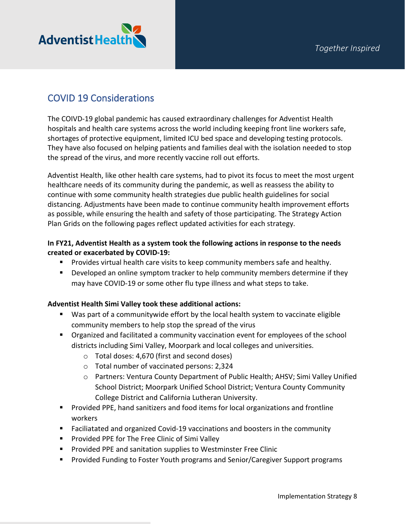

## COVID 19 Considerations

The COIVD-19 global pandemic has caused extraordinary challenges for Adventist Health hospitals and health care systems across the world including keeping front line workers safe, shortages of protective equipment, limited ICU bed space and developing testing protocols. They have also focused on helping patients and families deal with the isolation needed to stop the spread of the virus, and more recently vaccine roll out efforts.

Adventist Health, like other health care systems, had to pivot its focus to meet the most urgent healthcare needs of its community during the pandemic, as well as reassess the ability to continue with some community health strategies due public health guidelines for social distancing. Adjustments have been made to continue community health improvement efforts as possible, while ensuring the health and safety of those participating. The Strategy Action Plan Grids on the following pages reflect updated activities for each strategy.

### **In FY21, Adventist Health as a system took the following actions in response to the needs created or exacerbated by COVID-19:**

- Provides virtual health care visits to keep community members safe and healthy.
- **Developed an online symptom tracker to help community members determine if they** may have COVID-19 or some other flu type illness and what steps to take.

### **Adventist Health Simi Valley took these additional actions:**

- Was part of a communitywide effort by the local health system to vaccinate eligible community members to help stop the spread of the virus
- Organized and facilitated a community vaccination event for employees of the school districts including Simi Valley, Moorpark and local colleges and universities.
	- o Total doses: 4,670 (first and second doses)
	- o Total number of vaccinated persons: 2,324
	- o Partners: Ventura County Department of Public Health; AHSV; Simi Valley Unified School District; Moorpark Unified School District; Ventura County Community College District and California Lutheran University.
- Provided PPE, hand sanitizers and food items for local organizations and frontline workers
- Faciliatated and organized Covid-19 vaccinations and boosters in the community
- **Provided PPE for The Free Clinic of Simi Valley**
- **Provided PPE and sanitation supplies to Westminster Free Clinic**
- **Provided Funding to Foster Youth programs and Senior/Caregiver Support programs**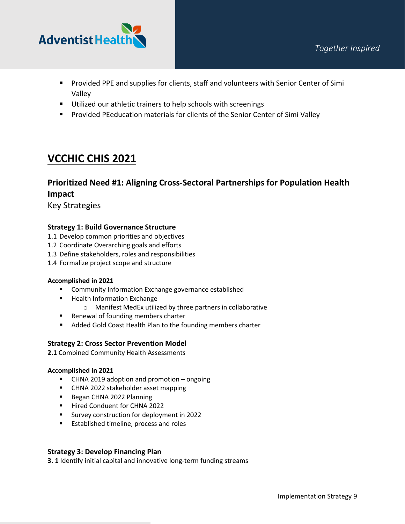

- **Provided PPE and supplies for clients, staff and volunteers with Senior Center of Simi** Valley
- **Utilized our athletic trainers to help schools with screenings**
- **Provided PEeducation materials for clients of the Senior Center of Simi Valley**

## **VCCHIC CHIS 2021**

## **Prioritized Need #1: Aligning Cross-Sectoral Partnerships for Population Health Impact**

Key Strategies

#### **Strategy 1: Build Governance Structure**

- 1.1 Develop common priorities and objectives
- 1.2 Coordinate Overarching goals and efforts
- 1.3 Define stakeholders, roles and responsibilities
- 1.4 Formalize project scope and structure

#### **Accomplished in 2021**

- **EXECOMMUNITY Information Exchange governance established**
- **Health Information Exchange** 
	- o Manifest MedEx utilized by three partners in collaborative
- **Renewal of founding members charter**
- **Added Gold Coast Health Plan to the founding members charter**

#### **Strategy 2: Cross Sector Prevention Model**

**2.1** Combined Community Health Assessments

#### **Accomplished in 2021**

- CHNA 2019 adoption and promotion ongoing
- **EXECHNA 2022 stakeholder asset mapping**
- Began CHNA 2022 Planning
- **Hired Conduent for CHNA 2022**
- Survey construction for deployment in 2022
- **Established timeline, process and roles**

#### **Strategy 3: Develop Financing Plan**

**3. 1** Identify initial capital and innovative long-term funding streams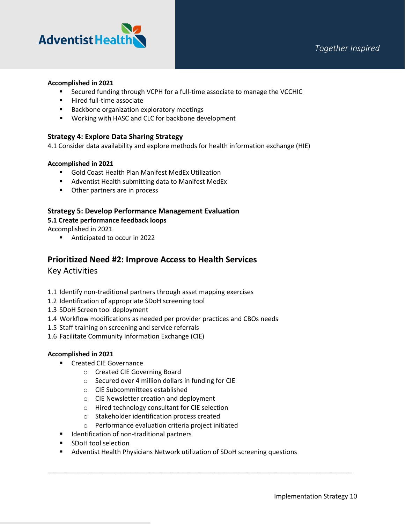

#### **Accomplished in 2021**

- Secured funding through VCPH for a full-time associate to manage the VCCHIC
- **Hired full-time associate**
- **Backbone organization exploratory meetings**
- **Working with HASC and CLC for backbone development**

#### **Strategy 4: Explore Data Sharing Strategy**

4.1 Consider data availability and explore methods for health information exchange (HIE)

#### **Accomplished in 2021**

- Gold Coast Health Plan Manifest MedEx Utilization
- **Adventist Health submitting data to Manifest MedEx**
- **•** Other partners are in process

## **Strategy 5: Develop Performance Management Evaluation**

#### **5.1 Create performance feedback loops**

Accomplished in 2021

■ Anticipated to occur in 2022

### **Prioritized Need #2: Improve Access to Health Services**

Key Activities

- 1.1 Identify non-traditional partners through asset mapping exercises
- 1.2 Identification of appropriate SDoH screening tool
- 1.3 SDoH Screen tool deployment
- 1.4 Workflow modifications as needed per provider practices and CBOs needs
- 1.5 Staff training on screening and service referrals
- 1.6 Facilitate Community Information Exchange (CIE)

#### **Accomplished in 2021**

- **EXECTED Created CIE Governance** 
	- o Created CIE Governing Board
	- o Secured over 4 million dollars in funding for CIE
	- o CIE Subcommittees established
	- o CIE Newsletter creation and deployment
	- o Hired technology consultant for CIE selection
	- o Stakeholder identification process created
	- o Performance evaluation criteria project initiated
- **IDENTIFICATE:** Identification of non-traditional partners
- **SDoH** tool selection
- Adventist Health Physicians Network utilization of SDoH screening questions

\_\_\_\_\_\_\_\_\_\_\_\_\_\_\_\_\_\_\_\_\_\_\_\_\_\_\_\_\_\_\_\_\_\_\_\_\_\_\_\_\_\_\_\_\_\_\_\_\_\_\_\_\_\_\_\_\_\_\_\_\_\_\_\_\_\_\_\_\_\_\_\_\_\_\_\_\_\_\_\_\_\_\_\_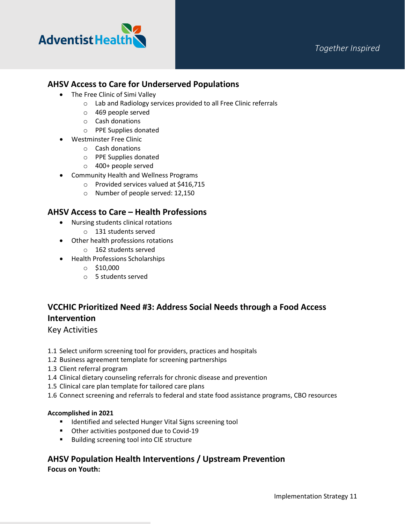

## **AHSV Access to Care for Underserved Populations**

- The Free Clinic of Simi Valley
	- o Lab and Radiology services provided to all Free Clinic referrals
	- o 469 people served
	- o Cash donations
	- o PPE Supplies donated
- Westminster Free Clinic
	- o Cash donations
		- o PPE Supplies donated
		- o 400+ people served
- Community Health and Wellness Programs
	- o Provided services valued at \$416,715
	- o Number of people served: 12,150

## **AHSV Access to Care – Health Professions**

- Nursing students clinical rotations
	- o 131 students served
- Other health professions rotations
	- o 162 students served
- Health Professions Scholarships
	- $\circ$  \$10,000
	- o 5 students served

## **VCCHIC Prioritized Need #3: Address Social Needs through a Food Access Intervention**

Key Activities

- 1.1 Select uniform screening tool for providers, practices and hospitals
- 1.2 Business agreement template for screening partnerships
- 1.3 Client referral program
- 1.4 Clinical dietary counseling referrals for chronic disease and prevention
- 1.5 Clinical care plan template for tailored care plans
- 1.6 Connect screening and referrals to federal and state food assistance programs, CBO resources

#### **Accomplished in 2021**

- **IDENTIFIED And selected Hunger Vital Signs screening tool**
- **•** Other activities postponed due to Covid-19
- **Building screening tool into CIE structure**

## **AHSV Population Health Interventions / Upstream Prevention Focus on Youth:**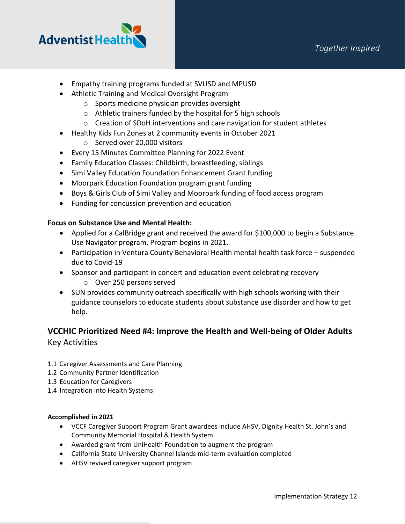

- Empathy training programs funded at SVUSD and MPUSD
- Athletic Training and Medical Oversight Program
	- o Sports medicine physician provides oversight
	- o Athletic trainers funded by the hospital for 5 high schools
	- o Creation of SDoH interventions and care navigation for student athletes
- Healthy Kids Fun Zones at 2 community events in October 2021
	- o Served over 20,000 visitors
- Every 15 Minutes Committee Planning for 2022 Event
- Family Education Classes: Childbirth, breastfeeding, siblings
- Simi Valley Education Foundation Enhancement Grant funding
- Moorpark Education Foundation program grant funding
- Boys & Girls Club of Simi Valley and Moorpark funding of food access program
- Funding for concussion prevention and education

### **Focus on Substance Use and Mental Health:**

- Applied for a CalBridge grant and received the award for \$100,000 to begin a Substance Use Navigator program. Program begins in 2021.
- Participation in Ventura County Behavioral Health mental health task force suspended due to Covid-19
- Sponsor and participant in concert and education event celebrating recovery o Over 250 persons served
- SUN provides community outreach specifically with high schools working with their guidance counselors to educate students about substance use disorder and how to get help.

## **VCCHIC Prioritized Need #4: Improve the Health and Well-being of Older Adults** Key Activities

- 1.1 Caregiver Assessments and Care Planning
- 1.2 Community Partner Identification
- 1.3 Education for Caregivers
- 1.4 Integration into Health Systems

#### **Accomplished in 2021**

- VCCF Caregiver Support Program Grant awardees include AHSV, Dignity Health St. John's and Community Memorial Hospital & Health System
- Awarded grant from UniHealth Foundation to augment the program
- California State University Channel Islands mid-term evaluation completed
- AHSV revived caregiver support program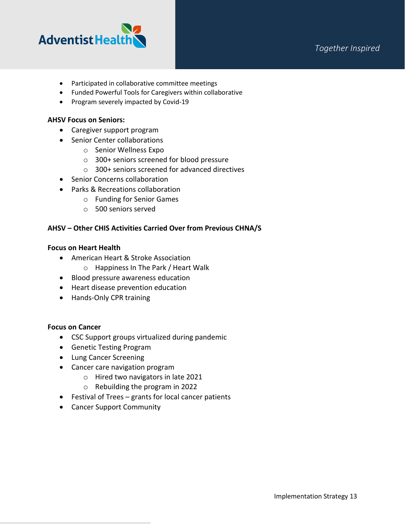

- Participated in collaborative committee meetings
- Funded Powerful Tools for Caregivers within collaborative
- Program severely impacted by Covid-19

#### **AHSV Focus on Seniors:**

- Caregiver support program
- Senior Center collaborations
	- o Senior Wellness Expo
	- o 300+ seniors screened for blood pressure
	- o 300+ seniors screened for advanced directives
- Senior Concerns collaboration
- Parks & Recreations collaboration
	- o Funding for Senior Games
	- o 500 seniors served

#### **AHSV – Other CHIS Activities Carried Over from Previous CHNA/S**

#### **Focus on Heart Health**

- American Heart & Stroke Association
	- o Happiness In The Park / Heart Walk
- Blood pressure awareness education
- Heart disease prevention education
- Hands-Only CPR training

#### **Focus on Cancer**

- CSC Support groups virtualized during pandemic
- Genetic Testing Program
- Lung Cancer Screening
- Cancer care navigation program
	- o Hired two navigators in late 2021
	- o Rebuilding the program in 2022
- Festival of Trees grants for local cancer patients
- Cancer Support Community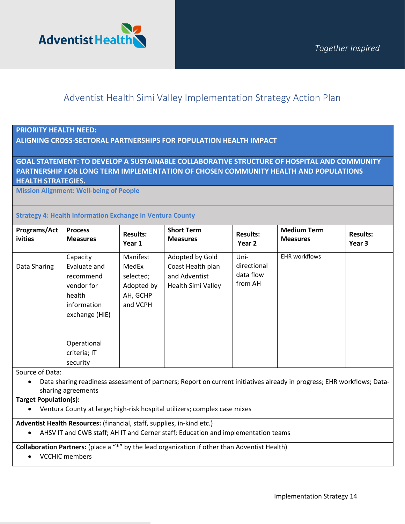

## Adventist Health Simi Valley Implementation Strategy Action Plan

#### **PRIORITY HEALTH NEED:**

#### **ALIGNING CROSS-SECTORAL PARTNERSHIPS FOR POPULATION HEALTH IMPACT**

### **GOAL STATEMENT: TO DEVELOP A SUSTAINABLE COLLABORATIVE STRUCTURE OF HOSPITAL AND COMMUNITY PARTNERSHIP FOR LONG TERM IMPLEMENTATION OF CHOSEN COMMUNITY HEALTH AND POPULATIONS HEALTH STRATEGIES.**

**Mission Alignment: Well-being of People**

#### **Strategy 4: Health Information Exchange in Ventura County**

| Programs/Act<br>ivities | <b>Process</b><br><b>Measures</b>                                                              | <b>Results:</b><br>Year 1                                            | <b>Short Term</b><br><b>Measures</b>                                               | <b>Results:</b><br>Year 2                   | <b>Medium Term</b><br><b>Measures</b> | <b>Results:</b><br>Year 3 |
|-------------------------|------------------------------------------------------------------------------------------------|----------------------------------------------------------------------|------------------------------------------------------------------------------------|---------------------------------------------|---------------------------------------|---------------------------|
| Data Sharing            | Capacity<br>Evaluate and<br>recommend<br>vendor for<br>health<br>information<br>exchange (HIE) | Manifest<br>MedEx<br>selected;<br>Adopted by<br>AH, GCHP<br>and VCPH | Adopted by Gold<br>Coast Health plan<br>and Adventist<br><b>Health Simi Valley</b> | Uni-<br>directional<br>data flow<br>from AH | <b>EHR workflows</b>                  |                           |
|                         | Operational<br>criteria; IT<br>security                                                        |                                                                      |                                                                                    |                                             |                                       |                           |

Source of Data:

• Data sharing readiness assessment of partners; Report on current initiatives already in progress; EHR workflows; Datasharing agreements

#### **Target Population(s):**

• Ventura County at large; high-risk hospital utilizers; complex case mixes

**Adventist Health Resources:** (financial, staff, supplies, in-kind etc.)

• AHSV IT and CWB staff; AH IT and Cerner staff; Education and implementation teams

#### **Collaboration Partners:** (place a "\*" by the lead organization if other than Adventist Health)

• VCCHIC members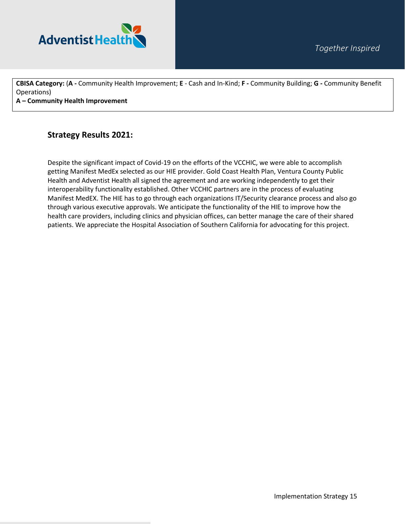

**CBISA Category:** (**A -** Community Health Improvement; **E** - Cash and In-Kind; **F -** Community Building; **G -** Community Benefit Operations)

**A – Community Health Improvement** 

## **Strategy Results 2021:**

Despite the significant impact of Covid-19 on the efforts of the VCCHIC, we were able to accomplish getting Manifest MedEx selected as our HIE provider. Gold Coast Health Plan, Ventura County Public Health and Adventist Health all signed the agreement and are working independently to get their interoperability functionality established. Other VCCHIC partners are in the process of evaluating Manifest MedEX. The HIE has to go through each organizations IT/Security clearance process and also go through various executive approvals. We anticipate the functionality of the HIE to improve how the health care providers, including clinics and physician offices, can better manage the care of their shared patients. We appreciate the Hospital Association of Southern California for advocating for this project.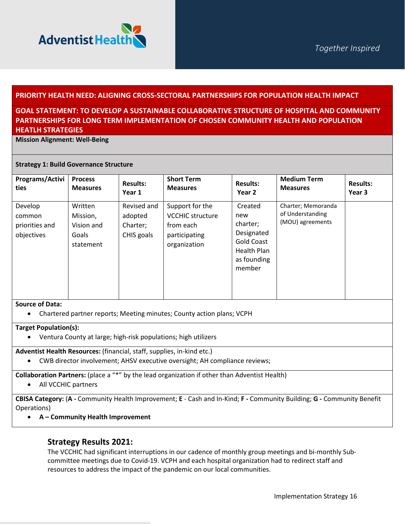

#### **PRIORITY HEALTH NEED: ALIGNING CROSS-SECTORAL PARTNERSHIPS FOR POPULATION HEALTH IMPACT**

### **GOAL STATEMENT: TO DEVELOP A SUSTAINABLE COLLABORATIVE STRUCTURE OF HOSPITAL AND COMMUNITY PARTNERSHIPS FOR LONG TERM IMPLEMENTATION OF CHOSEN COMMUNITY HEALTH AND POPULATION HEATLH STRATEGIES**

**Mission Alignment: Well-Being** 

#### **Strategy 1: Build Governance Structure**

| Programs/Activi                                   | <b>Process</b>                                          | <b>Results:</b>                                  | <b>Short Term</b>                                                                        | <b>Results:</b>                                                                                       | <b>Medium Term</b>                                         | <b>Results:</b> |
|---------------------------------------------------|---------------------------------------------------------|--------------------------------------------------|------------------------------------------------------------------------------------------|-------------------------------------------------------------------------------------------------------|------------------------------------------------------------|-----------------|
| ties                                              | <b>Measures</b>                                         | Year 1                                           | <b>Measures</b>                                                                          | Year 2                                                                                                | <b>Measures</b>                                            | Year 3          |
| Develop<br>common<br>priorities and<br>objectives | Written<br>Mission,<br>Vision and<br>Goals<br>statement | Revised and<br>adopted<br>Charter;<br>CHIS goals | Support for the<br><b>VCCHIC structure</b><br>from each<br>participating<br>organization | Created<br>new<br>charter;<br>Designated<br><b>Gold Coast</b><br>Health Plan<br>as founding<br>member | Charter; Memoranda<br>of Understanding<br>(MOU) agreements |                 |

#### **Source of Data:**

• Chartered partner reports; Meeting minutes; County action plans; VCPH

#### **Target Population(s):**

• Ventura County at large; high-risk populations; high utilizers

#### **Adventist Health Resources:** (financial, staff, supplies, in-kind etc.)

• CWB director involvement; AHSV executive oversight; AH compliance reviews;

**Collaboration Partners:** (place a "\*" by the lead organization if other than Adventist Health)

• All VCCHIC partners

**CBISA Category:** (**A -** Community Health Improvement; **E** - Cash and In-Kind; **F -** Community Building; **G -** Community Benefit Operations)

• **A – Community Health Improvement** 

### **Strategy Results 2021:**

The VCCHIC had significant interruptions in our cadence of monthly group meetings and bi-monthly Subcommittee meetings due to Covid-19. VCPH and each hospital organization had to redirect staff and resources to address the impact of the pandemic on our local communities.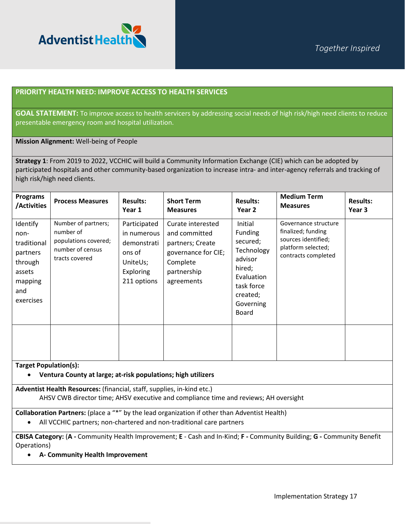

#### **PRIORITY HEALTH NEED: IMPROVE ACCESS TO HEALTH SERVICES**

**GOAL STATEMENT:** To improve access to health servicers by addressing social needs of high risk/high need clients to reduce presentable emergency room and hospital utilization.

#### **Mission Alignment:** Well-being of People

**Strategy 1**: From 2019 to 2022, VCCHIC will build a Community Information Exchange (CIE) which can be adopted by participated hospitals and other community-based organization to increase intra- and inter-agency referrals and tracking of high risk/high need clients.

| <b>Programs</b><br>/Activities                                                                  | <b>Process Measures</b>                                                                        | <b>Results:</b><br>Year 1                                                                    | <b>Short Term</b><br><b>Measures</b>                                                                                   | <b>Results:</b><br>Year 2                                                                                                       | <b>Medium Term</b><br><b>Measures</b>                                                                          | <b>Results:</b><br>Year 3 |
|-------------------------------------------------------------------------------------------------|------------------------------------------------------------------------------------------------|----------------------------------------------------------------------------------------------|------------------------------------------------------------------------------------------------------------------------|---------------------------------------------------------------------------------------------------------------------------------|----------------------------------------------------------------------------------------------------------------|---------------------------|
| Identify<br>non-<br>traditional<br>partners<br>through<br>assets<br>mapping<br>and<br>exercises | Number of partners;<br>number of<br>populations covered;<br>number of census<br>tracts covered | Participated<br>in numerous<br>demonstrati<br>ons of<br>UniteUs;<br>Exploring<br>211 options | Curate interested<br>and committed<br>partners; Create<br>governance for CIE;<br>Complete<br>partnership<br>agreements | Initial<br>Funding<br>secured;<br>Technology<br>advisor<br>hired;<br>Evaluation<br>task force<br>created;<br>Governing<br>Board | Governance structure<br>finalized; funding<br>sources identified;<br>platform selected;<br>contracts completed |                           |
| <b>Target Population(s):</b>                                                                    |                                                                                                |                                                                                              |                                                                                                                        |                                                                                                                                 |                                                                                                                |                           |

• **Ventura County at large; at-risk populations; high utilizers** 

**Adventist Health Resources:** (financial, staff, supplies, in-kind etc.) AHSV CWB director time; AHSV executive and compliance time and reviews; AH oversight

**Collaboration Partners:** (place a "\*" by the lead organization if other than Adventist Health)

• All VCCHIC partners; non-chartered and non-traditional care partners

**CBISA Category:** (**A -** Community Health Improvement; **E** - Cash and In-Kind; **F -** Community Building; **G -** Community Benefit Operations)

• **A- Community Health Improvement**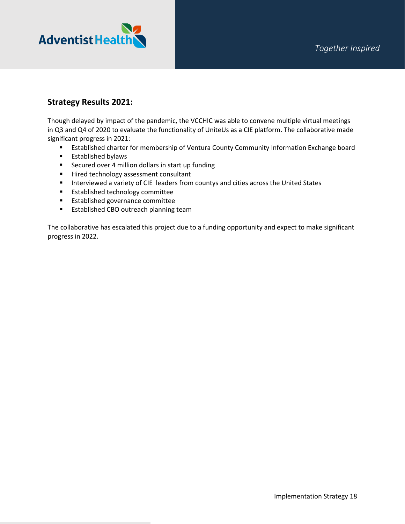

## **Strategy Results 2021:**

Though delayed by impact of the pandemic, the VCCHIC was able to convene multiple virtual meetings in Q3 and Q4 of 2020 to evaluate the functionality of UniteUs as a CIE platform. The collaborative made significant progress in 2021:

- **Established charter for membership of Ventura County Community Information Exchange board**
- **Established bylaws**
- **EXECUTED Secured over 4 million dollars in start up funding**
- Hired technology assessment consultant
- **Interviewed a variety of CIE leaders from countys and cities across the United States**
- **Established technology committee**
- **Established governance committee**
- **Established CBO outreach planning team**

The collaborative has escalated this project due to a funding opportunity and expect to make significant progress in 2022.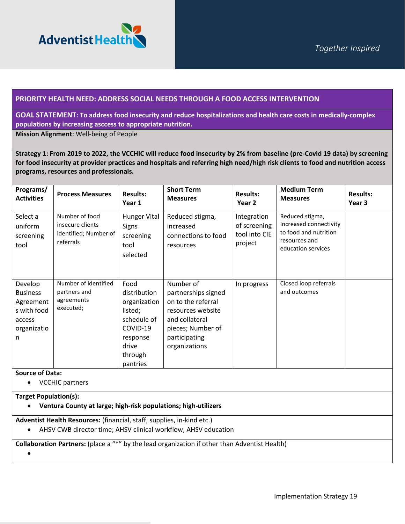

#### **PRIORITY HEALTH NEED: ADDRESS SOCIAL NEEDS THROUGH A FOOD ACCESS INTERVENTION**

#### **GOAL STATEMENT: To address food insecurity and reduce hospitalizations and health care costs in medically-complex populations by increasing asccess to appropriate nutrition.**

**Mission Alignment**: Well-being of People

**Strategy 1: From 2019 to 2022, the VCCHIC will reduce food insecurity by 2% from baseline (pre-Covid 19 data) by screening for food insecurity at provider practices and hospitals and referring high need/high risk clients to food and nutrition access programs, resources and professionals.**

| Programs/<br><b>Activities</b>                                                       | <b>Process Measures</b>                                                  | <b>Results:</b><br>Year 1                                                                                              | <b>Short Term</b><br><b>Measures</b>                                                                                                                 | <b>Results:</b><br>Year <sub>2</sub>                    | <b>Medium Term</b><br><b>Measures</b>                                                                     | <b>Results:</b><br>Year 3 |
|--------------------------------------------------------------------------------------|--------------------------------------------------------------------------|------------------------------------------------------------------------------------------------------------------------|------------------------------------------------------------------------------------------------------------------------------------------------------|---------------------------------------------------------|-----------------------------------------------------------------------------------------------------------|---------------------------|
| Select a<br>uniform<br>screening<br>tool                                             | Number of food<br>insecure clients<br>identified; Number of<br>referrals | <b>Hunger Vital</b><br>Signs<br>screening<br>tool<br>selected                                                          | Reduced stigma,<br>increased<br>connections to food<br>resources                                                                                     | Integration<br>of screening<br>tool into CIE<br>project | Reduced stigma,<br>Increased connectivity<br>to food and nutrition<br>resources and<br>education services |                           |
| Develop<br><b>Business</b><br>Agreement<br>s with food<br>access<br>organizatio<br>n | Number of identified<br>partners and<br>agreements<br>executed;          | Food<br>distribution<br>organization<br>listed;<br>schedule of<br>COVID-19<br>response<br>drive<br>through<br>pantries | Number of<br>partnerships signed<br>on to the referral<br>resources website<br>and collateral<br>pieces; Number of<br>participating<br>organizations | In progress                                             | Closed loop referrals<br>and outcomes                                                                     |                           |
| <b>Source of Data:</b><br><b>VCCHIC partners</b>                                     |                                                                          |                                                                                                                        |                                                                                                                                                      |                                                         |                                                                                                           |                           |

#### **Target Population(s):**

• **Ventura County at large; high-risk populations; high-utilizers**

**Adventist Health Resources:** (financial, staff, supplies, in-kind etc.)

• AHSV CWB director time; AHSV clinical workflow; AHSV education

**Collaboration Partners:** (place a "\*" by the lead organization if other than Adventist Health)

•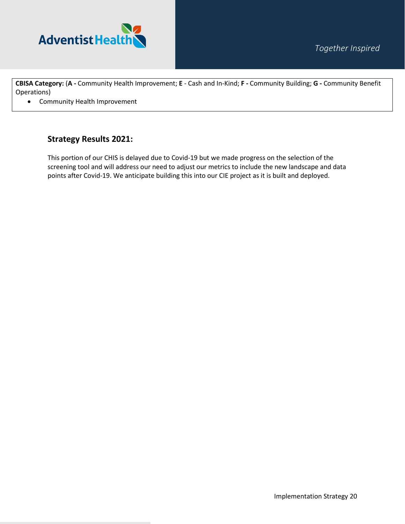

**CBISA Category:** (**A -** Community Health Improvement; **E** - Cash and In-Kind; **F -** Community Building; **G -** Community Benefit Operations)

• Community Health Improvement

## **Strategy Results 2021:**

This portion of our CHIS is delayed due to Covid-19 but we made progress on the selection of the screening tool and will address our need to adjust our metrics to include the new landscape and data points after Covid-19. We anticipate building this into our CIE project as it is built and deployed.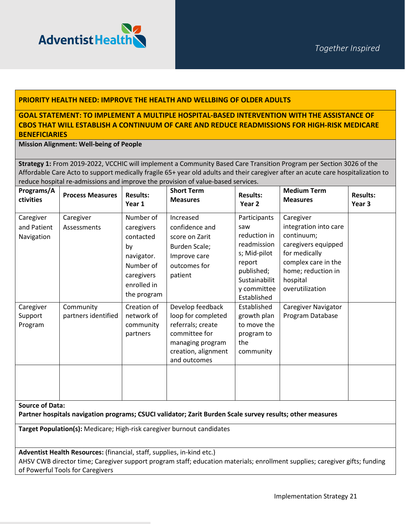

#### **PRIORITY HEALTH NEED: IMPROVE THE HEALTH AND WELLBING OF OLDER ADULTS**

#### **GOAL STATEMENT: TO IMPLEMENT A MULTIPLE HOSPITAL-BASED INTERVENTION WITH THE ASSISTANCE OF CBOS THAT WILL ESTABLISH A CONTINUUM OF CARE AND REDUCE READMISSIONS FOR HIGH-RISK MEDICARE BENEFICIARIES**

#### **Mission Alignment: Well-being of People**

**Strategy 1:** From 2019-2022, VCCHIC will implement a Community Based Care Transition Program per Section 3026 of the Affordable Care Acto to support medically fragile 65+ year old adults and their caregiver after an acute care hospitalization to reduce hospital re-admissions and improve the provision of value-based services.

| Programs/A<br>ctivities                | <b>Process Measures</b>          | <b>Results:</b><br>Year 1                                                                                         | <b>Short Term</b><br><b>Measures</b>                                                                                                    | <b>Results:</b><br>Year <sub>2</sub>                                                                                                      | <b>Medium Term</b><br><b>Measures</b>                                                                                                                                | <b>Results:</b><br>Year 3 |
|----------------------------------------|----------------------------------|-------------------------------------------------------------------------------------------------------------------|-----------------------------------------------------------------------------------------------------------------------------------------|-------------------------------------------------------------------------------------------------------------------------------------------|----------------------------------------------------------------------------------------------------------------------------------------------------------------------|---------------------------|
| Caregiver<br>and Patient<br>Navigation | Caregiver<br>Assessments         | Number of<br>caregivers<br>contacted<br>by<br>navigator.<br>Number of<br>caregivers<br>enrolled in<br>the program | Increased<br>confidence and<br>score on Zarit<br>Burden Scale;<br>Improve care<br>outcomes for<br>patient                               | Participants<br>saw<br>reduction in<br>readmission<br>s; Mid-pilot<br>report<br>published;<br>Sustainabilit<br>y committee<br>Established | Caregiver<br>integration into care<br>continuum;<br>caregivers equipped<br>for medically<br>complex care in the<br>home; reduction in<br>hospital<br>overutilization |                           |
| Caregiver<br>Support<br>Program        | Community<br>partners identified | Creation of<br>network of<br>community<br>partners                                                                | Develop feedback<br>loop for completed<br>referrals; create<br>committee for<br>managing program<br>creation, alignment<br>and outcomes | Established<br>growth plan<br>to move the<br>program to<br>the<br>community                                                               | Caregiver Navigator<br>Program Database                                                                                                                              |                           |

**Source of Data:** 

**Partner hospitals navigation programs; CSUCI validator; Zarit Burden Scale survey results; other measures** 

**Target Population(s):** Medicare; High-risk caregiver burnout candidates

**Adventist Health Resources:** (financial, staff, supplies, in-kind etc.)

AHSV CWB director time; Caregiver support program staff; education materials; enrollment supplies; caregiver gifts; funding of Powerful Tools for Caregivers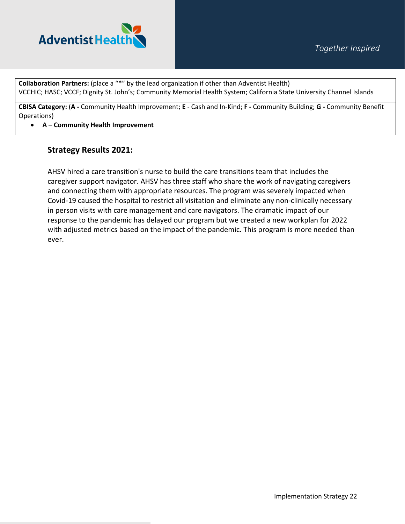

**Collaboration Partners:** (place a "\*" by the lead organization if other than Adventist Health) VCCHIC; HASC; VCCF; Dignity St. John's; Community Memorial Health System; California State University Channel Islands

**CBISA Category:** (**A -** Community Health Improvement; **E** - Cash and In-Kind; **F -** Community Building; **G -** Community Benefit Operations)

#### • **A – Community Health Improvement**

## **Strategy Results 2021:**

AHSV hired a care transition's nurse to build the care transitions team that includes the caregiver support navigator. AHSV has three staff who share the work of navigating caregivers and connecting them with appropriate resources. The program was severely impacted when Covid-19 caused the hospital to restrict all visitation and eliminate any non-clinically necessary in person visits with care management and care navigators. The dramatic impact of our response to the pandemic has delayed our program but we created a new workplan for 2022 with adjusted metrics based on the impact of the pandemic. This program is more needed than ever.